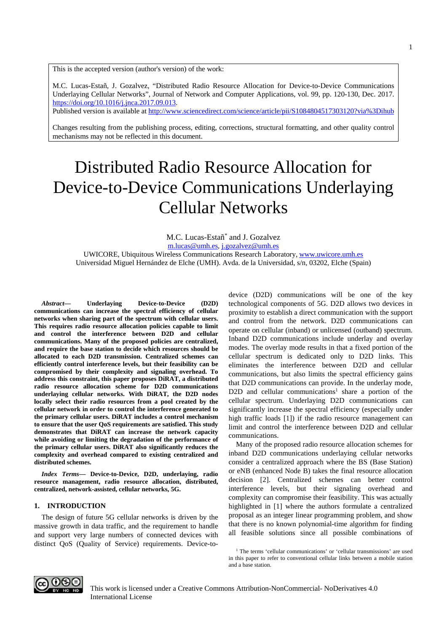This is the accepted version (author's version) of the work:

M.C. Lucas-Estañ, J. Gozalvez, "Distributed Radio Resource Allocation for Device-to-Device Communications Underlaying Cellular Networks", Journal of Network and Computer Applications, vol. 99, pp. 120-130, Dec. 2017. https://doi.org/10.1016/j.jnca.2017.09.013.

Published version is available at http://www.sciencedirect.com/science/article/pii/S1084804517303120?via%3Dihub

Changes resulting from the publishing process, editing, corrections, structural formatting, and other quality control mechanisms may not be reflected in this document.

# Distributed Radio Resource Allocation for Device-to-Device Communications Underlaying Cellular Networks

M.C. Lucas-Estañ\* and J. Gozalvez m.lucas@umh.es, j.gozalvez@umh.es UWICORE, Ubiquitous Wireless Communications Research Laboratory, www.uwicore.umh.es Universidad Miguel Hernández de Elche (UMH). Avda. de la Universidad, s/n, 03202, Elche (Spain)

*Abstract***— Underlaying Device-to-Device (D2D) communications can increase the spectral efficiency of cellular networks when sharing part of the spectrum with cellular users. This requires radio resource allocation policies capable to limit and control the interference between D2D and cellular communications. Many of the proposed policies are centralized, and require the base station to decide which resources should be allocated to each D2D transmission. Centralized schemes can efficiently control interference levels, but their feasibility can be compromised by their complexity and signaling overhead. To address this constraint, this paper proposes DiRAT, a distributed radio resource allocation scheme for D2D communications underlaying cellular networks. With DiRAT, the D2D nodes locally select their radio resources from a pool created by the cellular network in order to control the interference generated to the primary cellular users. DiRAT includes a control mechanism to ensure that the user QoS requirements are satisfied. This study demonstrates that DiRAT can increase the network capacity while avoiding or limiting the degradation of the performance of the primary cellular users. DiRAT also significantly reduces the complexity and overhead compared to existing centralized and distributed schemes.** 

*Index Terms***— Device-to-Device, D2D, underlaying, radio resource management, radio resource allocation, distributed, centralized, network-assisted, cellular networks, 5G.** 

### **1. INTRODUCTION**

The design of future 5G cellular networks is driven by the massive growth in data traffic, and the requirement to handle and support very large numbers of connected devices with distinct QoS (Quality of Service) requirements. Device-todevice (D2D) communications will be one of the key technological components of 5G. D2D allows two devices in proximity to establish a direct communication with the support and control from the network. D2D communications can operate on cellular (inband) or unlicensed (outband) spectrum. Inband D2D communications include underlay and overlay modes. The overlay mode results in that a fixed portion of the cellular spectrum is dedicated only to D2D links. This eliminates the interference between D2D and cellular communications, but also limits the spectral efficiency gains that D2D communications can provide. In the underlay mode, D2D and cellular communications<sup>1</sup> share a portion of the cellular spectrum. Underlaying D2D communications can significantly increase the spectral efficiency (especially under high traffic loads [1]) if the radio resource management can limit and control the interference between D2D and cellular communications.

Many of the proposed radio resource allocation schemes for inband D2D communications underlaying cellular networks consider a centralized approach where the BS (Base Station) or eNB (enhanced Node B) takes the final resource allocation decision [2]. Centralized schemes can better control interference levels, but their signaling overhead and complexity can compromise their feasibility. This was actually highlighted in [1] where the authors formulate a centralized proposal as an integer linear programming problem, and show that there is no known polynomial-time algorithm for finding all feasible solutions since all possible combinations of



<sup>&</sup>lt;sup>1</sup> The terms 'cellular communications' or 'cellular transmissions' are used in this paper to refer to conventional cellular links between a mobile station and a base station.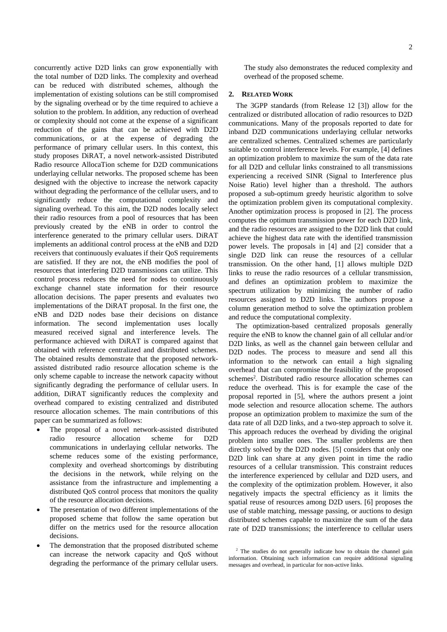2

concurrently active D2D links can grow exponentially with the total number of D2D links. The complexity and overhead can be reduced with distributed schemes, although the implementation of existing solutions can be still compromised by the signaling overhead or by the time required to achieve a solution to the problem. In addition, any reduction of overhead or complexity should not come at the expense of a significant reduction of the gains that can be achieved with D2D communications, or at the expense of degrading the performance of primary cellular users. In this context, this study proposes DiRAT, a novel network-assisted Distributed Radio resource AllocaTion scheme for D2D communications underlaying cellular networks. The proposed scheme has been designed with the objective to increase the network capacity without degrading the performance of the cellular users, and to significantly reduce the computational complexity and signaling overhead. To this aim, the D2D nodes locally select their radio resources from a pool of resources that has been previously created by the eNB in order to control the interference generated to the primary cellular users. DiRAT implements an additional control process at the eNB and D2D receivers that continuously evaluates if their QoS requirements are satisfied. If they are not, the eNB modifies the pool of resources that interfering D2D transmissions can utilize. This control process reduces the need for nodes to continuously exchange channel state information for their resource allocation decisions. The paper presents and evaluates two implementations of the DiRAT proposal. In the first one, the eNB and D2D nodes base their decisions on distance information. The second implementation uses locally measured received signal and interference levels. The performance achieved with DiRAT is compared against that obtained with reference centralized and distributed schemes. The obtained results demonstrate that the proposed networkassisted distributed radio resource allocation scheme is the only scheme capable to increase the network capacity without significantly degrading the performance of cellular users. In addition, DiRAT significantly reduces the complexity and overhead compared to existing centralized and distributed resource allocation schemes. The main contributions of this paper can be summarized as follows:

- The proposal of a novel network-assisted distributed radio resource allocation scheme for D2D communications in underlaying cellular networks. The scheme reduces some of the existing performance, complexity and overhead shortcomings by distributing the decisions in the network, while relying on the assistance from the infrastructure and implementing a distributed QoS control process that monitors the quality of the resource allocation decisions.
- The presentation of two different implementations of the proposed scheme that follow the same operation but differ on the metrics used for the resource allocation decisions.
- The demonstration that the proposed distributed scheme can increase the network capacity and QoS without degrading the performance of the primary cellular users.

The study also demonstrates the reduced complexity and overhead of the proposed scheme.

# **2. RELATED WORK**

The 3GPP standards (from Release 12 [3]) allow for the centralized or distributed allocation of radio resources to D2D communications. Many of the proposals reported to date for inband D2D communications underlaying cellular networks are centralized schemes. Centralized schemes are particularly suitable to control interference levels. For example, [4] defines an optimization problem to maximize the sum of the data rate for all D2D and cellular links constrained to all transmissions experiencing a received SINR (Signal to Interference plus Noise Ratio) level higher than a threshold. The authors proposed a sub-optimum greedy heuristic algorithm to solve the optimization problem given its computational complexity. Another optimization process is proposed in [2]. The process computes the optimum transmission power for each D2D link, and the radio resources are assigned to the D2D link that could achieve the highest data rate with the identified transmission power levels. The proposals in [4] and [2] consider that a single D2D link can reuse the resources of a cellular transmission. On the other hand, [1] allows multiple D2D links to reuse the radio resources of a cellular transmission, and defines an optimization problem to maximize the spectrum utilization by minimizing the number of radio resources assigned to D2D links. The authors propose a column generation method to solve the optimization problem and reduce the computational complexity.

The optimization-based centralized proposals generally require the eNB to know the channel gain of all cellular and/or D2D links, as well as the channel gain between cellular and D<sub>2</sub>D nodes. The process to measure and send all this information to the network can entail a high signaling overhead that can compromise the feasibility of the proposed schemes<sup>2</sup>. Distributed radio resource allocation schemes can reduce the overhead. This is for example the case of the proposal reported in [5], where the authors present a joint mode selection and resource allocation scheme. The authors propose an optimization problem to maximize the sum of the data rate of all D2D links, and a two-step approach to solve it. This approach reduces the overhead by dividing the original problem into smaller ones. The smaller problems are then directly solved by the D2D nodes. [5] considers that only one D2D link can share at any given point in time the radio resources of a cellular transmission. This constraint reduces the interference experienced by cellular and D2D users, and the complexity of the optimization problem. However, it also negatively impacts the spectral efficiency as it limits the spatial reuse of resources among D2D users. [6] proposes the use of stable matching, message passing, or auctions to design distributed schemes capable to maximize the sum of the data rate of D2D transmissions; the interference to cellular users

<sup>&</sup>lt;sup>2</sup> The studies do not generally indicate how to obtain the channel gain information. Obtaining such information can require additional signaling messages and overhead, in particular for non-active links.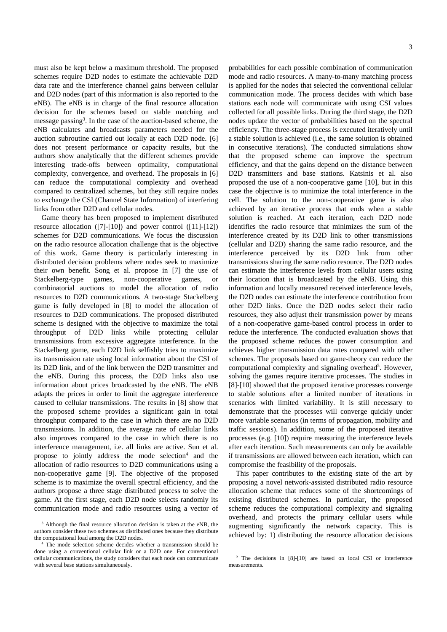must also be kept below a maximum threshold. The proposed schemes require D2D nodes to estimate the achievable D2D data rate and the interference channel gains between cellular and D2D nodes (part of this information is also reported to the eNB). The eNB is in charge of the final resource allocation decision for the schemes based on stable matching and message passing<sup>3</sup>. In the case of the auction-based scheme, the eNB calculates and broadcasts parameters needed for the auction subroutine carried out locally at each D2D node. [6] does not present performance or capacity results, but the authors show analytically that the different schemes provide interesting trade-offs between optimality, computational complexity, convergence, and overhead. The proposals in [6] can reduce the computational complexity and overhead compared to centralized schemes, but they still require nodes to exchange the CSI (Channel State Information) of interfering links from other D2D and cellular nodes.

Game theory has been proposed to implement distributed resource allocation ([7]-[10]) and power control ([11]-[12]) schemes for D2D communications. We focus the discussion on the radio resource allocation challenge that is the objective of this work. Game theory is particularly interesting in distributed decision problems where nodes seek to maximize their own benefit. Song et al. propose in [7] the use of Stackelberg-type games, non-cooperative games, or combinatorial auctions to model the allocation of radio resources to D2D communications. A two-stage Stackelberg game is fully developed in [8] to model the allocation of resources to D2D communications. The proposed distributed scheme is designed with the objective to maximize the total throughput of D2D links while protecting cellular transmissions from excessive aggregate interference. In the Stackelberg game, each D2D link selfishly tries to maximize its transmission rate using local information about the CSI of its D2D link, and of the link between the D2D transmitter and the eNB. During this process, the D2D links also use information about prices broadcasted by the eNB. The eNB adapts the prices in order to limit the aggregate interference caused to cellular transmissions. The results in [8] show that the proposed scheme provides a significant gain in total throughput compared to the case in which there are no D2D transmissions. In addition, the average rate of cellular links also improves compared to the case in which there is no interference management, i.e. all links are active. Sun et al. propose to jointly address the mode selection<sup>4</sup> and the allocation of radio resources to D2D communications using a non-cooperative game [9]. The objective of the proposed scheme is to maximize the overall spectral efficiency, and the authors propose a three stage distributed process to solve the game. At the first stage, each D2D node selects randomly its communication mode and radio resources using a vector of

probabilities for each possible combination of communication mode and radio resources. A many-to-many matching process is applied for the nodes that selected the conventional cellular communication mode. The process decides with which base stations each node will communicate with using CSI values collected for all possible links. During the third stage, the D2D nodes update the vector of probabilities based on the spectral efficiency. The three-stage process is executed iteratively until a stable solution is achieved (i.e., the same solution is obtained in consecutive iterations). The conducted simulations show that the proposed scheme can improve the spectrum efficiency, and that the gains depend on the distance between D2D transmitters and base stations. Katsinis et al. also proposed the use of a non-cooperative game [10], but in this case the objective is to minimize the total interference in the cell. The solution to the non-cooperative game is also achieved by an iterative process that ends when a stable solution is reached. At each iteration, each D2D node identifies the radio resource that minimizes the sum of the interference created by its D2D link to other transmissions (cellular and D2D) sharing the same radio resource, and the interference perceived by its D2D link from other transmissions sharing the same radio resource. The D2D nodes can estimate the interference levels from cellular users using their location that is broadcasted by the eNB. Using this information and locally measured received interference levels, the D2D nodes can estimate the interference contribution from other D2D links. Once the D2D nodes select their radio resources, they also adjust their transmission power by means of a non-cooperative game-based control process in order to reduce the interference. The conducted evaluation shows that the proposed scheme reduces the power consumption and achieves higher transmission data rates compared with other schemes. The proposals based on game-theory can reduce the computational complexity and signaling overhead<sup>5</sup>. However, solving the games require iterative processes. The studies in [8]-[10] showed that the proposed iterative processes converge to stable solutions after a limited number of iterations in scenarios with limited variability. It is still necessary to demonstrate that the processes will converge quickly under more variable scenarios (in terms of propagation, mobility and traffic sessions). In addition, some of the proposed iterative processes (e.g. [10]) require measuring the interference levels after each iteration. Such measurements can only be available if transmissions are allowed between each iteration, which can compromise the feasibility of the proposals.

This paper contributes to the existing state of the art by proposing a novel network-assisted distributed radio resource allocation scheme that reduces some of the shortcomings of existing distributed schemes. In particular, the proposed scheme reduces the computational complexity and signaling overhead, and protects the primary cellular users while augmenting significantly the network capacity. This is achieved by: 1) distributing the resource allocation decisions

<sup>&</sup>lt;sup>3</sup> Although the final resource allocation decision is taken at the eNB, the authors consider these two schemes as distributed ones because they distribute the computational load among the D2D nodes. 4

The mode selection scheme decides whether a transmission should be done using a conventional cellular link or a D2D one. For conventional cellular communications, the study considers that each node can communicate with several base stations simultaneously.

<sup>5</sup> The decisions in [8]-[10] are based on local CSI or interference measurements.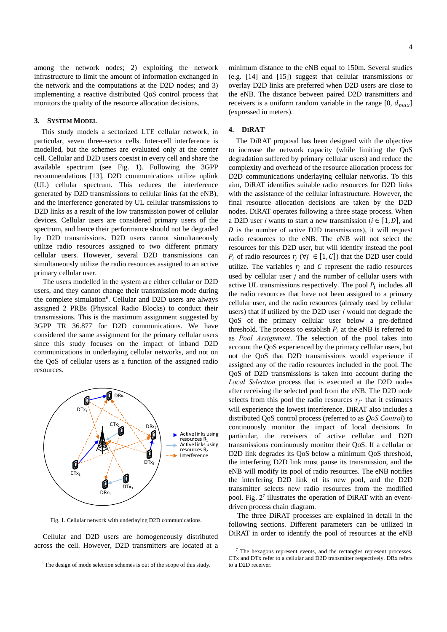among the network nodes; 2) exploiting the network infrastructure to limit the amount of information exchanged in the network and the computations at the D2D nodes; and 3) implementing a reactive distributed QoS control process that monitors the quality of the resource allocation decisions.

#### **3. SYSTEM MODEL**

This study models a sectorized LTE cellular network, in particular, seven three-sector cells. Inter-cell interference is modelled, but the schemes are evaluated only at the center cell. Cellular and D2D users coexist in every cell and share the available spectrum (see Fig. 1). Following the 3GPP recommendations [13], D2D communications utilize uplink (UL) cellular spectrum. This reduces the interference generated by D2D transmissions to cellular links (at the eNB), and the interference generated by UL cellular transmissions to D2D links as a result of the low transmission power of cellular devices. Cellular users are considered primary users of the spectrum, and hence their performance should not be degraded by D2D transmissions. D2D users cannot simultaneously utilize radio resources assigned to two different primary cellular users. However, several D2D transmissions can simultaneously utilize the radio resources assigned to an active primary cellular user.

The users modelled in the system are either cellular or D2D users, and they cannot change their transmission mode during the complete simulation<sup>6</sup>. Cellular and D2D users are always assigned 2 PRBs (Physical Radio Blocks) to conduct their transmissions. This is the maximum assignment suggested by 3GPP TR 36.877 for D2D communications. We have considered the same assignment for the primary cellular users since this study focuses on the impact of inband D2D communications in underlaying cellular networks, and not on the QoS of cellular users as a function of the assigned radio resources.



Fig. 1. Cellular network with underlaying D2D communications.

Cellular and D2D users are homogeneously distributed across the cell. However, D2D transmitters are located at a minimum distance to the eNB equal to 150m. Several studies (e.g. [14] and [15]) suggest that cellular transmissions or overlay D2D links are preferred when D2D users are close to the eNB. The distance between paired D2D transmitters and receivers is a uniform random variable in the range  $[0, d_{max}]$ (expressed in meters).

## **4. DIRAT**

The DiRAT proposal has been designed with the objective to increase the network capacity (while limiting the QoS degradation suffered by primary cellular users) and reduce the complexity and overhead of the resource allocation process for D2D communications underlaying cellular networks. To this aim, DiRAT identifies suitable radio resources for D2D links with the assistance of the cellular infrastructure. However, the final resource allocation decisions are taken by the D2D nodes. DiRAT operates following a three stage process. When a D2D user *i* wants to start a new transmission  $(i \in [1, D]$ , and  $D$  is the number of active D2D transmissions), it will request radio resources to the eNB. The eNB will not select the resources for this D2D user, but will identify instead the pool  $P_i$  of radio resources  $r_i$  (∀ $j$  ∈ [1, C]) that the D2D user could utilize. The variables  $r_i$  and C represent the radio resources used by cellular user *j* and the number of cellular users with active UL transmissions respectively. The pool  $P_i$  includes all the radio resources that have not been assigned to a primary cellular user, and the radio resources (already used by cellular users) that if utilized by the D2D user *i* would not degrade the QoS of the primary cellular user below a pre-defined threshold. The process to establish  $P_i$  at the eNB is referred to as *Pool Assignment*. The selection of the pool takes into account the QoS experienced by the primary cellular users, but not the QoS that D2D transmissions would experience if assigned any of the radio resources included in the pool. The QoS of D2D transmissions is taken into account during the *Local Selection* process that is executed at the D2D nodes after receiving the selected pool from the eNB. The D2D node selects from this pool the radio resources  $r_{i^*}$  that it estimates will experience the lowest interference. DiRAT also includes a distributed QoS control process (referred to as *QoS Control*) to continuously monitor the impact of local decisions. In particular, the receivers of active cellular and D2D transmissions continuously monitor their QoS. If a cellular or D2D link degrades its QoS below a minimum QoS threshold, the interfering D2D link must pause its transmission, and the eNB will modify its pool of radio resources. The eNB notifies the interfering D2D link of its new pool, and the D2D transmitter selects new radio resources from the modified pool. Fig. 2<sup>7</sup> illustrates the operation of DiRAT with an eventdriven process chain diagram.

The three DiRAT processes are explained in detail in the following sections. Different parameters can be utilized in DiRAT in order to identify the pool of resources at the eNB

<sup>6</sup> The design of mode selection schemes is out of the scope of this study.

<sup>7</sup> The hexagons represent events, and the rectangles represent processes. CTx and DTx refer to a cellular and D2D transmitter respectively. DRx refers to a D2D receiver.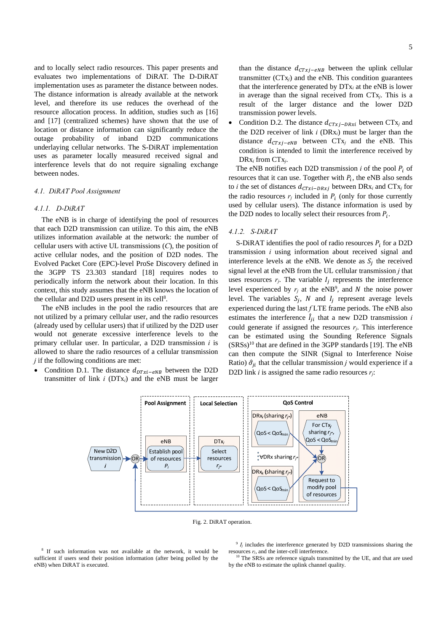and to locally select radio resources. This paper presents and evaluates two implementations of DiRAT. The D-DiRAT implementation uses as parameter the distance between nodes. The distance information is already available at the network level, and therefore its use reduces the overhead of the resource allocation process. In addition, studies such as [16] and [17] (centralized schemes) have shown that the use of location or distance information can significantly reduce the outage probability of inband D2D communications underlaying cellular networks. The S-DiRAT implementation uses as parameter locally measured received signal and interference levels that do not require signaling exchange between nodes.

#### *4.1. DiRAT Pool Assignment*

#### *4.1.1. D-DiRAT*

The eNB is in charge of identifying the pool of resources that each D2D transmission can utilize. To this aim, the eNB utilizes information available at the network: the number of cellular users with active UL transmissions (*C*), the position of active cellular nodes, and the position of D2D nodes. The Evolved Packet Core (EPC)-level ProSe Discovery defined in the 3GPP TS 23.303 standard [18] requires nodes to periodically inform the network about their location. In this context, this study assumes that the eNB knows the location of the cellular and D2D users present in its cell<sup>8</sup>.

The eNB includes in the pool the radio resources that are not utilized by a primary cellular user, and the radio resources (already used by cellular users) that if utilized by the D2D user would not generate excessive interference levels to the primary cellular user. In particular, a D2D transmission *i* is allowed to share the radio resources of a cellular transmission *j* if the following conditions are met:

Condition D.1. The distance  $d_{DTxi-eNB}$  between the D2D transmitter of link  $i$  ( $DTx_i$ ) and the eNB must be larger 5

than the distance  $d_{CTxi-eNB}$  between the uplink cellular transmitter (CTx*j*) and the eNB. This condition guarantees that the interference generated by DTx*i* at the eNB is lower in average than the signal received from CTx*j*. This is a result of the larger distance and the lower D2D transmission power levels.

• Condition D.2. The distance  $d_{CTxi-DRxi}$  between CT<sub>x</sub>*j* and the D2D receiver of link *i* (DRx*i*) must be larger than the distance  $d_{CTxj-eNB}$  between CTx<sub>j</sub> and the eNB. This condition is intended to limit the interference received by DRx*i* from CTx*j*.

The eNB notifies each D2D transmission  $i$  of the pool  $P_i$  of resources that it can use. Together with  $P_i$ , the eNB also sends to *i* the set of distances  $d_{CTxi-PRxj}$  between DRx<sub>i</sub> and CTx<sub>j</sub> for the radio resources  $r_i$  included in  $P_i$  (only for those currently used by cellular users). The distance information is used by the D2D nodes to locally select their resources from  $P_i$ .

#### *4.1.2. S-DiRAT*

S-DiRAT identifies the pool of radio resources  $P_i$  for a D2D transmission *i* using information about received signal and interference levels at the eNB. We denote as  $S_i$  the received signal level at the eNB from the UL cellular transmission *j* that uses resources  $r_i$ . The variable  $I_i$  represents the interference level experienced by  $r_j$  at the eNB<sup>9</sup>, and N the noise power level. The variables  $S_i$ , N and  $I_i$  represent average levels experienced during the last *f* LTE frame periods. The eNB also estimates the interference  $\hat{I}_{ji}$  that a new D2D transmission *i* could generate if assigned the resources  $r_i$ . This interference can be estimated using the Sounding Reference Signals  $(SRSS)^{10}$  that are defined in the 3GPP standards [19]. The eNB can then compute the SINR (Signal to Interference Noise Ratio)  $\hat{\sigma}_{ii}$  that the cellular transmission *j* would experience if a D2D link *i* is assigned the same radio resources *rj*:



Fig. 2. DiRAT operation.

8 If such information was not available at the network, it would be sufficient if users send their position information (after being polled by the eNB) when DiRAT is executed.

 $9$   $I_j$  includes the interference generated by D2D transmissions sharing the resources  $r_j$ , and the inter-cell interference.<br><sup>10</sup> The SRSs are reference signals transmitted by the UE, and that are used

by the eNB to estimate the uplink channel quality.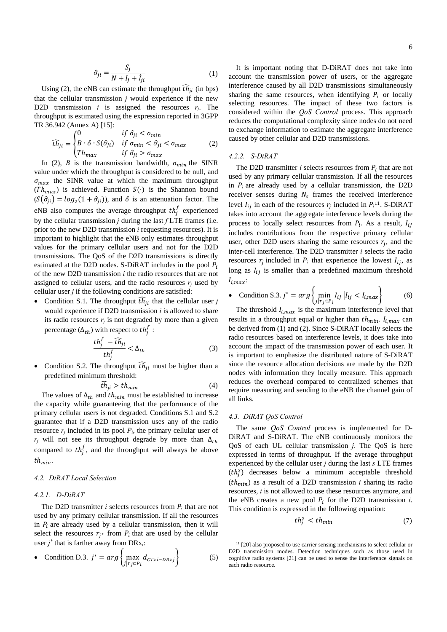$$
\hat{\sigma}_{ji} = \frac{S_j}{N + I_j + \hat{I}_{ji}}\tag{1}
$$

Using (2), the eNB can estimate the throughput  $\widehat{th}_{ii}$  (in bps) that the cellular transmission *j* would experience if the new D2D transmission  $i$  is assigned the resources  $r_i$ . The throughput is estimated using the expression reported in 3GPP TR 36.942 (Annex A) [15]:

$$
\widehat{th}_{ji} = \begin{cases}\n0 & \text{if } \widehat{\sigma}_{ji} < \sigma_{min} \\
B \cdot \delta \cdot S(\widehat{\sigma}_{ji}) & \text{if } \sigma_{min} < \widehat{\sigma}_{ji} < \sigma_{max} \\
Th_{max} & \text{if } \widehat{\sigma}_{ji} > \sigma_{max}\n\end{cases} \tag{2}
$$

In (2), *B* is the transmission bandwidth,  $\sigma_{min}$  the SINR value under which the throughput is considered to be null, and  $\sigma_{max}$  the SINR value at which the maximum throughput  $(Th_{max})$  is achieved. Function  $S(·)$  is the Shannon bound  $(S(\hat{\sigma}_{ii}) = log_2(1 + \hat{\sigma}_{ii}))$ , and  $\delta$  is an attenuation factor. The eNB also computes the average throughput  $th_j^f$  experienced by the cellular transmission *j* during the last *f* LTE frames (i.e. prior to the new D2D transmission *i* requesting resources). It is important to highlight that the eNB only estimates throughput values for the primary cellular users and not for the D2D transmissions. The QoS of the D2D transmissions is directly estimated at the D2D nodes. S-DiRAT includes in the pool  $P_i$ of the new D2D transmission *i* the radio resources that are not assigned to cellular users, and the radio resources  $r_i$  used by cellular user  $j$  if the following conditions are satisfied:

Condition S.1. The throughput  $\widehat{th}_{ji}$  that the cellular user *j* would experience if D2D transmission *i* is allowed to share its radio resources  $r_i$  is not degraded by more than a given percentage ( $\Delta_{th}$ ) with respect to  $th_j^f$ :

$$
\frac{th_j^f - t\widehat{h}_{ji}}{th_j^f} < \Delta_{th} \tag{3}
$$

Condition S.2. The throughput  $\widehat{th}_{ii}$  must be higher than a predefined minimum threshold:

$$
\widehat{th}_{ji} > th_{min} \tag{4}
$$

The values of  $\Delta_{th}$  and  $th_{min}$  must be established to increase the capacity while guaranteeing that the performance of the primary cellular users is not degraded. Conditions S.1 and S.2 guarantee that if a D2D transmission uses any of the radio resource  $r_j$  included in its pool  $P_i$ , the primary cellular user of *r<sub>j</sub>* will not see its throughput degrade by more than  $\Delta_{th}$ compared to  $th_j^f$ , and the throughput will always be above  $th_{min}$ .

## *4.2. DiRAT Local Selection*

#### *4.2.1. D-DiRAT*

The D2D transmitter  $i$  selects resources from  $P_i$  that are not used by any primary cellular transmission. If all the resources in  $P_i$  are already used by a cellular transmission, then it will select the resources  $r_{i^*}$  from  $P_i$  that are used by the cellular user  $j^*$  that is farther away from  $DRx_i$ :

• Condition D.3. 
$$
j^* = arg \left\{ \max_{j|r_j \subset P_i} d_{CTxi - DRxj} \right\}
$$
 (5)

It is important noting that D-DiRAT does not take into account the transmission power of users, or the aggregate interference caused by all D2D transmissions simultaneously sharing the same resources, when identifying  $P_i$  or locally selecting resources. The impact of these two factors is considered within the *QoS Control* process. This approach reduces the computational complexity since nodes do not need to exchange information to estimate the aggregate interference caused by other cellular and D2D transmissions.

#### *4.2.2. S-DiRAT*

The D2D transmitter  $i$  selects resources from  $P_i$  that are not used by any primary cellular transmission. If all the resources in  $P_i$  are already used by a cellular transmission, the D2D receiver senses during  $N_s$  frames the received interference level  $I_{ij}$  in each of the resources  $r_j$  included in  $P_i^{11}$ . S-DiRAT takes into account the aggregate interference levels during the process to locally select resources from  $P_i$ . As a result,  $I_{ij}$ includes contributions from the respective primary cellular user, other D2D users sharing the same resources  $r_i$ , and the inter-cell interference. The D2D transmitter *i* selects the radio resources  $r_j$  included in  $P_i$  that experience the lowest  $I_{ij}$ , as long as  $I_{ij}$  is smaller than a predefined maximum threshold  $I_{i,max}$ :

• Condition S.3. 
$$
j^* = arg \left\{ \min_{j \mid r_j \subset P_i} I_{ij} \middle| I_{ij} < I_{i,max} \right\} \tag{6}
$$

The threshold  $I_{i,max}$  is the maximum interference level that results in a throughput equal or higher than  $th_{min}$ .  $l_{i,max}$  can be derived from (1) and (2). Since S-DiRAT locally selects the radio resources based on interference levels, it does take into account the impact of the transmission power of each user. It is important to emphasize the distributed nature of S-DiRAT since the resource allocation decisions are made by the D2D nodes with information they locally measure. This approach reduces the overhead compared to centralized schemes that require measuring and sending to the eNB the channel gain of all links.

#### *4.3. DiRAT QoS Control*

The same *QoS Control* process is implemented for D-DiRAT and S-DiRAT. The eNB continuously monitors the QoS of each UL cellular transmission *j*. The QoS is here expressed in terms of throughput. If the average throughput experienced by the cellular user *j* during the last *s* LTE frames  $(th_j^s)$  decreases below a minimum acceptable threshold  $(th_{min})$  as a result of a D2D transmission *i* sharing its radio resources, *i* is not allowed to use these resources anymore, and the eNB creates a new pool  $P_i$  for the D2D transmission *i*. This condition is expressed in the following equation:

$$
th_j^s < th_{min} \tag{7}
$$

<sup>11</sup> [20] also proposed to use carrier sensing mechanisms to select cellular or D2D transmission modes. Detection techniques such as those used in cognitive radio systems [21] can be used to sense the interference signals on each radio resource.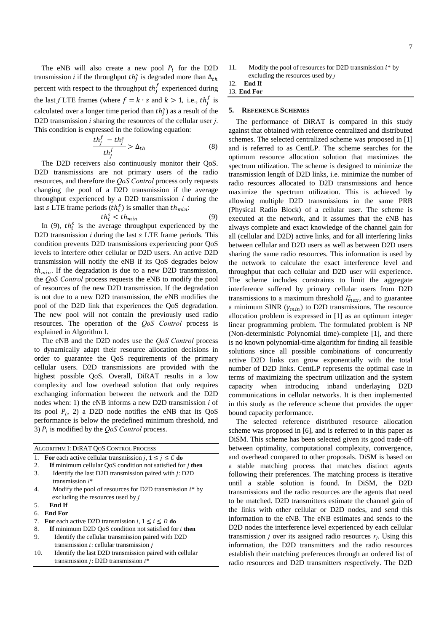The eNB will also create a new pool  $P_i$  for the D2D transmission *i* if the throughput  $th_j^s$  is degraded more than  $\Delta_{th}$ percent with respect to the throughput  $th_j^f$  experienced during the last *f* LTE frames (where  $f = k \cdot s$  and  $k > 1$ , i.e.,  $th_j^f$  is calculated over a longer time period than  $th_j^s$ ) as a result of the D2D transmission *i* sharing the resources of the cellular user *j*. This condition is expressed in the following equation:

$$
\frac{th_j^f - th_j^s}{th_j^f} > \Delta_{th} \tag{8}
$$

The D2D receivers also continuously monitor their QoS. D2D transmissions are not primary users of the radio resources, and therefore the *QoS Control* process only requests changing the pool of a D2D transmission if the average throughput experienced by a D2D transmission *i* during the last s LTE frame periods  $(th_i^s)$  is smaller than  $th_{min}$ :

$$
th_i^s < th_{min} \tag{9}
$$

In (9),  $th_i^s$  is the average throughput experienced by the D2D transmission *i* during the last *s* LTE frame periods. This condition prevents D2D transmissions experiencing poor QoS levels to interfere other cellular or D2D users. An active D2D transmission will notify the eNB if its QoS degrades below  $th_{min}$ . If the degradation is due to a new D2D transmission, the *QoS Control* process requests the eNB to modify the pool of resources of the new D2D transmission. If the degradation is not due to a new D2D transmission, the eNB modifies the pool of the D2D link that experiences the QoS degradation. The new pool will not contain the previously used radio resources. The operation of the *QoS Control* process is explained in Algorithm I.

The eNB and the D2D nodes use the *QoS Control* process to dynamically adapt their resource allocation decisions in order to guarantee the QoS requirements of the primary cellular users. D2D transmissions are provided with the highest possible QoS. Overall, DiRAT results in a low complexity and low overhead solution that only requires exchanging information between the network and the D2D nodes when: 1) the eNB informs a new D2D transmission *i* of its pool  $P_i$ , 2) a D2D node notifies the eNB that its QoS performance is below the predefined minimum threshold, and 3)  $P_i$  is modified by the *QoS Control* process.

| ALGORITHM I: DIRAT OOS CONTROL PROCESS |                                                                          |  |  |  |
|----------------------------------------|--------------------------------------------------------------------------|--|--|--|
|                                        | 1. For each active cellular transmission $i, 1 \le i \le \mathcal{C}$ do |  |  |  |
| 2.                                     | If minimum cellular OoS condition not satisfied for <i>i</i> then        |  |  |  |
|                                        |                                                                          |  |  |  |

- 3. Identify the last D2D transmission paired with  $j$ : D2D transmission *i\**
- 4. Modify the pool of resources for D2D transmission  $i^*$  by excluding the resources used by *j*
- 5. **End If**
- 6. **End For**
- 7. **For** each active D2D transmission  $i, 1 \le i \le D$  do
- 8. **If** minimum D2D QoS condition not satisfied for *i* then
- 9. Identify the cellular transmission paired with D2D transmission  $i$ : cellular transmission  $j$
- 10. Identify the last D2D transmission paired with cellular transmission *j*: D2D transmission  $i^*$

11. Modify the pool of resources for D2D transmission  $i^*$  by excluding the resources used by *j*

# 12. **End If**

# 13. **End For**

#### **5. REFERENCE SCHEMES**

The performance of DiRAT is compared in this study against that obtained with reference centralized and distributed schemes. The selected centralized scheme was proposed in [1] and is referred to as CentLP. The scheme searches for the optimum resource allocation solution that maximizes the spectrum utilization. The scheme is designed to minimize the transmission length of D2D links, i.e. minimize the number of radio resources allocated to D2D transmissions and hence maximize the spectrum utilization. This is achieved by allowing multiple D2D transmissions in the same PRB (Physical Radio Block) of a cellular user. The scheme is executed at the network, and it assumes that the eNB has always complete and exact knowledge of the channel gain for all (cellular and D2D) active links, and for all interfering links between cellular and D2D users as well as between D2D users sharing the same radio resources. This information is used by the network to calculate the exact interference level and throughput that each cellular and D2D user will experience. The scheme includes constraints to limit the aggregate interference suffered by primary cellular users from D2D transmissions to a maximum threshold  $I_{max}^c$ , and to guarantee a minimum SINR  $(\gamma_{min})$  to D2D transmissions. The resource allocation problem is expressed in [1] as an optimum integer linear programming problem. The formulated problem is NP (Non-deterministic Polynomial time)-complete [1], and there is no known polynomial-time algorithm for finding all feasible solutions since all possible combinations of concurrently active D2D links can grow exponentially with the total number of D2D links. CentLP represents the optimal case in terms of maximizing the spectrum utilization and the system capacity when introducing inband underlaying D2D communications in cellular networks. It is then implemented in this study as the reference scheme that provides the upper bound capacity performance.

The selected reference distributed resource allocation scheme was proposed in [6], and is referred to in this paper as DiSM. This scheme has been selected given its good trade-off between optimality, computational complexity, convergence, and overhead compared to other proposals. DiSM is based on a stable matching process that matches distinct agents following their preferences. The matching process is iterative until a stable solution is found. In DiSM, the D2D transmissions and the radio resources are the agents that need to be matched. D2D transmitters estimate the channel gain of the links with other cellular or D2D nodes, and send this information to the eNB. The eNB estimates and sends to the D2D nodes the interference level experienced by each cellular transmission *j* over its assigned radio resources  $r_i$ . Using this information, the D2D transmitters and the radio resources establish their matching preferences through an ordered list of radio resources and D2D transmitters respectively. The D2D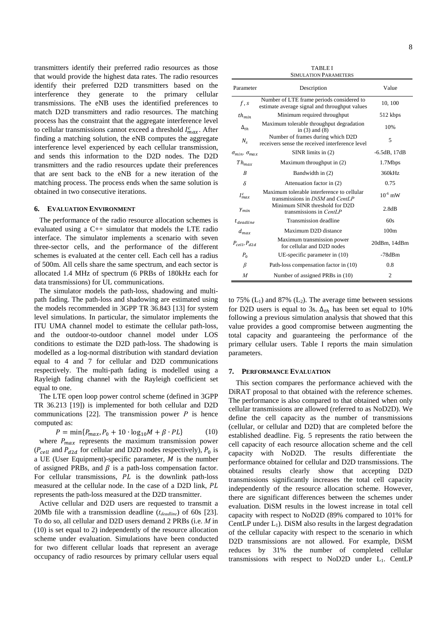transmitters identify their preferred radio resources as those that would provide the highest data rates. The radio resources identify their preferred D2D transmitters based on the interference they generate to the primary cellular transmissions. The eNB uses the identified preferences to match D2D transmitters and radio resources. The matching process has the constraint that the aggregate interference level to cellular transmissions cannot exceed a threshold  $I_{max}^c$ . After finding a matching solution, the eNB computes the aggregate interference level experienced by each cellular transmission, and sends this information to the D2D nodes. The D2D transmitters and the radio resources update their preferences that are sent back to the eNB for a new iteration of the matching process. The process ends when the same solution is obtained in two consecutive iterations.

#### **6. EVALUATION ENVIRONMENT**

The performance of the radio resource allocation schemes is evaluated using a C++ simulator that models the LTE radio interface. The simulator implements a scenario with seven three-sector cells, and the performance of the different schemes is evaluated at the center cell. Each cell has a radius of 500m. All cells share the same spectrum, and each sector is allocated 1.4 MHz of spectrum (6 PRBs of 180kHz each for data transmissions) for UL communications.

The simulator models the path-loss, shadowing and multipath fading. The path-loss and shadowing are estimated using the models recommended in 3GPP TR 36.843 [13] for system level simulations. In particular, the simulator implements the ITU UMA channel model to estimate the cellular path-loss, and the outdoor-to-outdoor channel model under LOS conditions to estimate the D2D path-loss. The shadowing is modelled as a log-normal distribution with standard deviation equal to 4 and 7 for cellular and D2D communications respectively. The multi-path fading is modelled using a Rayleigh fading channel with the Rayleigh coefficient set equal to one.

The LTE open loop power control scheme (defined in 3GPP TR 36.213 [19]) is implemented for both cellular and D2D communications  $[22]$ . The transmission power *P* is hence computed as:

 $P = \min\{P_{max}, P_0 + 10 \cdot \log_{10} M + \beta \cdot PL\}$  (10) where  $P_{max}$  represents the maximum transmission power

( $P_{cell}$  and  $P_{d2d}$  for cellular and D2D nodes respectively),  $P_0$  is a UE (User Equipment)-specific parameter,  $M$  is the number of assigned PRBs, and  $\beta$  is a path-loss compensation factor. For cellular transmissions, PL is the downlink path-loss measured at the cellular node. In the case of a D2D link,  $PL$ represents the path-loss measured at the D2D transmitter.

Active cellular and D2D users are requested to transmit a 20Mb file with a transmission deadline (*tdeadline*) of 60s [23]. To do so, all cellular and D2D users demand 2 PRBs (i.e. *M* in (10) is set equal to 2) independently of the resource allocation scheme under evaluation. Simulations have been conducted for two different cellular loads that represent an average occupancy of radio resources by primary cellular users equal

| Parameter                    | Description                                                                                | Value            |
|------------------------------|--------------------------------------------------------------------------------------------|------------------|
| f, s                         | Number of LTE frame periods considered to<br>estimate average signal and throughput values | 10, 100          |
| $th_{min}$                   | Minimum required throughput                                                                | 512 kbps         |
| $\Delta_{th}$                | Maximum tolerable throughput degradation<br>in $(3)$ and $(8)$                             | 10%              |
| $N_{\rm s}$                  | Number of frames during which D2D<br>receivers sense the received interference level       | 5                |
| $\sigma_{min}, \sigma_{max}$ | $SINR$ limits in $(2)$                                                                     | $-6.5dB$ , 17dB  |
| $Th_{max}$                   | Maximum throughput in (2)                                                                  | 1.7Mbps          |
| B                            | Bandwidth in (2)                                                                           | 360kHz           |
| δ                            | Attenuation factor in (2)                                                                  | 0.75             |
| $I_{\text{max}}^c$           | Maximum tolerable interference to cellular<br>transmissions in DiSM and CentLP             | $10^{-6}$ mW     |
| $\gamma_{min}$               | Minimum SINR threshold for D2D<br>transmissions in CentLP                                  | 2.8dB            |
| $t_{dendline}$               | Transmission deadline                                                                      | 60s              |
| $d_{max}$                    | Maximum D2D distance                                                                       | 100 <sub>m</sub> |
| $P_{cell}$ , $P_{d2d}$       | Maximum transmission power<br>for cellular and D2D nodes                                   | 20dBm, 14dBm     |
| $P_0$                        | UE-specific parameter in $(10)$                                                            | $-78dBm$         |
| β                            | Path-loss compensation factor in (10)                                                      | 0.8              |
| $\overline{M}$               | Number of assigned PRBs in (10)                                                            | 2                |

to 75%  $(L_1)$  and 87%  $(L_2)$ . The average time between sessions for D2D users is equal to 3s.  $\Delta_{th}$  has been set equal to 10% following a previous simulation analysis that showed that this value provides a good compromise between augmenting the total capacity and guaranteeing the performance of the primary cellular users. Table I reports the main simulation parameters.

#### **7. PERFORMANCE EVALUATION**

This section compares the performance achieved with the DiRAT proposal to that obtained with the reference schemes. The performance is also compared to that obtained when only cellular transmissions are allowed (referred to as NoD2D). We define the cell capacity as the number of transmissions (cellular, or cellular and D2D) that are completed before the established deadline. Fig. 5 represents the ratio between the cell capacity of each resource allocation scheme and the cell capacity with NoD2D. The results differentiate the performance obtained for cellular and D2D transmissions. The obtained results clearly show that accepting D2D transmissions significantly increases the total cell capacity independently of the resource allocation scheme. However, there are significant differences between the schemes under evaluation. DiSM results in the lowest increase in total cell capacity with respect to NoD2D (89% compared to 101% for CentLP under  $L_1$ ). DiSM also results in the largest degradation of the cellular capacity with respect to the scenario in which D2D transmissions are not allowed. For example, DiSM reduces by 31% the number of completed cellular transmissions with respect to NoD2D under L<sub>1</sub>. CentLP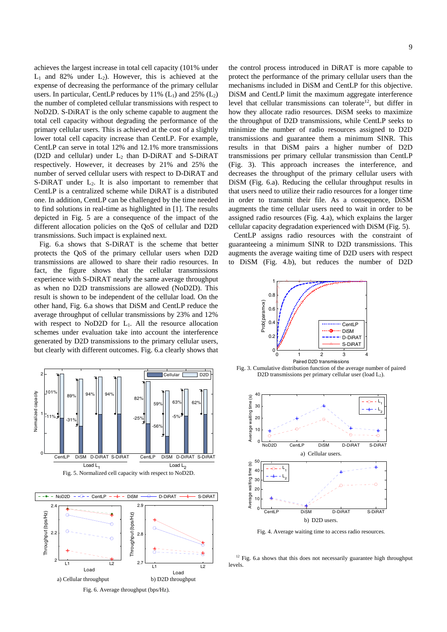achieves the largest increase in total cell capacity (101% under  $L_1$  and 82% under  $L_2$ ). However, this is achieved at the expense of decreasing the performance of the primary cellular users. In particular, CentLP reduces by  $11\%$  (L<sub>1</sub>) and  $25\%$  (L<sub>2</sub>) the number of completed cellular transmissions with respect to NoD2D. S-DiRAT is the only scheme capable to augment the total cell capacity without degrading the performance of the primary cellular users. This is achieved at the cost of a slightly lower total cell capacity increase than CentLP. For example, CentLP can serve in total 12% and 12.1% more transmissions (D2D and cellular) under  $L_2$  than D-DiRAT and S-DiRAT respectively. However, it decreases by 21% and 25% the number of served cellular users with respect to D-DiRAT and S-DiRAT under  $L_2$ . It is also important to remember that CentLP is a centralized scheme while DiRAT is a distributed one. In addition, CentLP can be challenged by the time needed to find solutions in real-time as highlighted in [1]. The results depicted in Fig. 5 are a consequence of the impact of the different allocation policies on the QoS of cellular and D2D transmissions. Such impact is explained next.

Fig. 6.a shows that S-DiRAT is the scheme that better protects the QoS of the primary cellular users when D2D transmissions are allowed to share their radio resources. In fact, the figure shows that the cellular transmissions experience with S-DiRAT nearly the same average throughput as when no D2D transmissions are allowed (NoD2D). This result is shown to be independent of the cellular load. On the other hand, Fig. 6.a shows that DiSM and CentLP reduce the average throughput of cellular transmissions by 23% and 12% with respect to NoD2D for  $L_1$ . All the resource allocation schemes under evaluation take into account the interference generated by D2D transmissions to the primary cellular users, but clearly with different outcomes. Fig. 6.a clearly shows that



the control process introduced in DiRAT is more capable to protect the performance of the primary cellular users than the mechanisms included in DiSM and CentLP for this objective. DiSM and CentLP limit the maximum aggregate interference level that cellular transmissions can tolerate<sup>12</sup>, but differ in how they allocate radio resources. DiSM seeks to maximize the throughput of D2D transmissions, while CentLP seeks to minimize the number of radio resources assigned to D2D transmissions and guarantee them a minimum SINR. This results in that DiSM pairs a higher number of D2D transmissions per primary cellular transmission than CentLP (Fig. 3). This approach increases the interference, and decreases the throughput of the primary cellular users with DiSM (Fig. 6.a). Reducing the cellular throughput results in that users need to utilize their radio resources for a longer time in order to transmit their file. As a consequence, DiSM augments the time cellular users need to wait in order to be assigned radio resources (Fig. 4.a), which explains the larger cellular capacity degradation experienced with DiSM (Fig. 5).

CentLP assigns radio resources with the constraint of guaranteeing a minimum SINR to D2D transmissions. This augments the average waiting time of D2D users with respect to DiSM (Fig. 4.b), but reduces the number of D2D



Fig. 3. Cumulative distribution function of the average number of paired D2D transmissions per primary cellular user (load L<sub>2</sub>).



Fig. 4. Average waiting time to access radio resources.

<sup>12</sup> Fig. 6.a shows that this does not necessarily guarantee high throughput levels.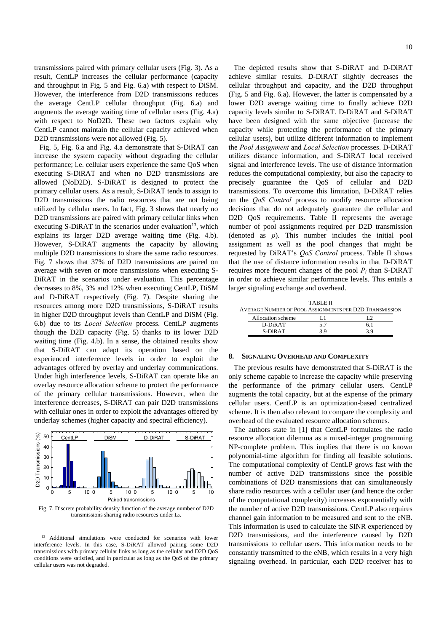transmissions paired with primary cellular users (Fig. 3). As a result, CentLP increases the cellular performance (capacity and throughput in Fig. 5 and Fig. 6.a) with respect to DiSM. However, the interference from D2D transmissions reduces the average CentLP cellular throughput (Fig. 6.a) and augments the average waiting time of cellular users (Fig. 4.a) with respect to NoD2D. These two factors explain why CentLP cannot maintain the cellular capacity achieved when D<sub>2</sub>D transmissions were not allowed (Fig. 5).

Fig. 5, Fig. 6.a and Fig. 4.a demonstrate that S-DiRAT can increase the system capacity without degrading the cellular performance; i.e. cellular users experience the same QoS when executing S-DiRAT and when no D2D transmissions are allowed (NoD2D). S-DiRAT is designed to protect the primary cellular users. As a result, S-DiRAT tends to assign to D2D transmissions the radio resources that are not being utilized by cellular users. In fact, Fig. 3 shows that nearly no D2D transmissions are paired with primary cellular links when executing S-DiRAT in the scenarios under evaluation<sup>13</sup>, which explains its larger D2D average waiting time (Fig. 4.b). However, S-DiRAT augments the capacity by allowing multiple D2D transmissions to share the same radio resources. Fig. 7 shows that 37% of D2D transmissions are paired on average with seven or more transmissions when executing S-DiRAT in the scenarios under evaluation. This percentage decreases to 8%, 3% and 12% when executing CentLP, DiSM and D-DiRAT respectively (Fig. 7). Despite sharing the resources among more D2D transmissions, S-DiRAT results in higher D2D throughput levels than CentLP and DiSM (Fig. 6.b) due to its *Local Selection* process. CentLP augments though the D2D capacity (Fig. 5) thanks to its lower D2D waiting time (Fig. 4.b). In a sense, the obtained results show that S-DiRAT can adapt its operation based on the experienced interference levels in order to exploit the advantages offered by overlay and underlay communications. Under high interference levels, S-DiRAT can operate like an overlay resource allocation scheme to protect the performance of the primary cellular transmissions. However, when the interference decreases, S-DiRAT can pair D2D transmissions with cellular ones in order to exploit the advantages offered by underlay schemes (higher capacity and spectral efficiency).



Fig. 7. Discrete probability density function of the average number of D2D transmissions sharing radio resources under L2.

<sup>13</sup> Additional simulations were conducted for scenarios with lower interference levels. In this case, S-DiRAT allowed pairing some D2D transmissions with primary cellular links as long as the cellular and D2D QoS conditions were satisfied, and in particular as long as the QoS of the primary cellular users was not degraded.

The depicted results show that S-DiRAT and D-DiRAT achieve similar results. D-DiRAT slightly decreases the cellular throughput and capacity, and the D2D throughput (Fig. 5 and Fig. 6.a). However, the latter is compensated by a lower D2D average waiting time to finally achieve D2D capacity levels similar to S-DiRAT. D-DiRAT and S-DiRAT have been designed with the same objective (increase the capacity while protecting the performance of the primary cellular users), but utilize different information to implement the *Pool Assignment* and *Local Selection* processes. D-DiRAT utilizes distance information, and S-DiRAT local received signal and interference levels. The use of distance information reduces the computational complexity, but also the capacity to precisely guarantee the QoS of cellular and D2D transmissions. To overcome this limitation, D-DiRAT relies on the *QoS Control* process to modify resource allocation decisions that do not adequately guarantee the cellular and D2D QoS requirements. Table II represents the average number of pool assignments required per D2D transmission (denoted as *p*). This number includes the initial pool assignment as well as the pool changes that might be requested by DiRAT's *QoS Control* process. Table II shows that the use of distance information results in that D-DiRAT requires more frequent changes of the pool  $P_i$  than S-DiRAT in order to achieve similar performance levels. This entails a larger signaling exchange and overhead.

| <b>TABLE II</b>                                         |                   |     |    |  |  |  |
|---------------------------------------------------------|-------------------|-----|----|--|--|--|
| AVERAGE NUMBER OF POOL ASSIGNMENTS PER D2D TRANSMISSION |                   |     |    |  |  |  |
|                                                         | Allocation scheme |     |    |  |  |  |
|                                                         | D-DiRAT           | 57  | 61 |  |  |  |
|                                                         | S-DiRAT           | 3 Q | 39 |  |  |  |

#### **8. SIGNALING OVERHEAD AND COMPLEXITY**

The previous results have demonstrated that S-DiRAT is the only scheme capable to increase the capacity while preserving the performance of the primary cellular users. CentLP augments the total capacity, but at the expense of the primary cellular users. CentLP is an optimization-based centralized scheme. It is then also relevant to compare the complexity and overhead of the evaluated resource allocation schemes.

The authors state in [1] that CentLP formulates the radio resource allocation dilemma as a mixed-integer programming NP-complete problem. This implies that there is no known polynomial-time algorithm for finding all feasible solutions. The computational complexity of CentLP grows fast with the number of active D2D transmissions since the possible combinations of D2D transmissions that can simultaneously share radio resources with a cellular user (and hence the order of the computational complexity) increases exponentially with the number of active D2D transmissions. CentLP also requires channel gain information to be measured and sent to the eNB. This information is used to calculate the SINR experienced by D2D transmissions, and the interference caused by D2D transmissions to cellular users. This information needs to be constantly transmitted to the eNB, which results in a very high signaling overhead. In particular, each D2D receiver has to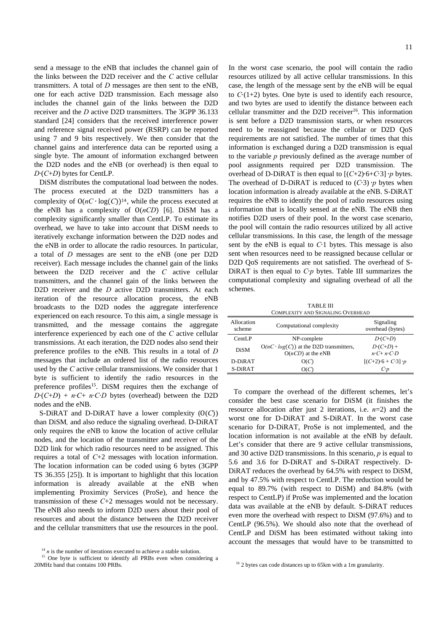11

send a message to the eNB that includes the channel gain of the links between the D2D receiver and the *C* active cellular transmitters. A total of *D* messages are then sent to the eNB, one for each active D2D transmission. Each message also includes the channel gain of the links between the D2D receiver and the *D* active D2D transmitters. The 3GPP 36.133 standard [24] considers that the received interference power and reference signal received power (RSRP) can be reported using 7 and 9 bits respectively. We then consider that the channel gains and interference data can be reported using a single byte. The amount of information exchanged between the D2D nodes and the eNB (or overhead) is then equal to *D*·(*C*+*D*) bytes for CentLP.

DiSM distributes the computational load between the nodes. The process executed at the D2D transmitters has a complexity of  $O(nC \cdot \log(C))$ <sup>14</sup>, while the process executed at the eNB has a complexity of  $O(nCD)$  [6]. DiSM has a complexity significantly smaller than CentLP. To estimate its overhead, we have to take into account that DiSM needs to iteratively exchange information between the D2D nodes and the eNB in order to allocate the radio resources. In particular, a total of *D* messages are sent to the eNB (one per D2D receiver). Each message includes the channel gain of the links between the D2D receiver and the *C* active cellular transmitters, and the channel gain of the links between the D2D receiver and the *D* active D2D transmitters. At each iteration of the resource allocation process, the eNB broadcasts to the D2D nodes the aggregate interference experienced on each resource. To this aim, a single message is transmitted, and the message contains the aggregate interference experienced by each one of the *C* active cellular transmissions. At each iteration, the D2D nodes also send their preference profiles to the eNB. This results in a total of *D*  messages that include an ordered list of the radio resources used by the *C* active cellular transmissions. We consider that 1 byte is sufficient to identify the radio resources in the preference profiles<sup>15</sup>. DiSM requires then the exchange of  $D \cdot (C+D)$  + *n* $\cdot$ *C*+ *n* $\cdot$ *C* $\cdot$ *D* bytes (overhead) between the D2D nodes and the eNB.

S-DiRAT and D-DiRAT have a lower complexity  $(0(C))$ than DiSM*,* and also reduce the signaling overhead. D-DiRAT only requires the eNB to know the location of active cellular nodes, and the location of the transmitter and receiver of the D2D link for which radio resources need to be assigned. This requires a total of *C*+2 messages with location information. The location information can be coded using 6 bytes (3GPP TS 36.355 [25]). It is important to highlight that this location information is already available at the eNB when implementing Proximity Services (ProSe), and hence the transmission of these *C*+2 messages would not be necessary. The eNB also needs to inform D2D users about their pool of resources and about the distance between the D2D receiver and the cellular transmitters that use the resources in the pool. In the worst case scenario, the pool will contain the radio resources utilized by all active cellular transmissions. In this case, the length of the message sent by the eNB will be equal to *C*∙(1+2) bytes. One byte is used to identify each resource, and two bytes are used to identify the distance between each cellular transmitter and the D2D receiver<sup>16</sup>. This information is sent before a D2D transmission starts, or when resources need to be reassigned because the cellular or D2D QoS requirements are not satisfied. The number of times that this information is exchanged during a D2D transmission is equal to the variable *p* previously defined as the average number of pool assignments required per D2D transmission. The overhead of D-DiRAT is then equal to  $[(C+2)·6+C·3]·p$  bytes. The overhead of D-DiRAT is reduced to  $(C<sup>3</sup>) \cdot p$  bytes when location information is already available at the eNB. S-DiRAT requires the eNB to identify the pool of radio resources using information that is locally sensed at the eNB. The eNB then notifies D2D users of their pool. In the worst case scenario, the pool will contain the radio resources utilized by all active cellular transmissions. In this case, the length of the message sent by the eNB is equal to *C*∙1 bytes. This message is also sent when resources need to be reassigned because cellular or D2D QoS requirements are not satisfied. The overhead of S-DiRAT is then equal to *C*∙*p* bytes. Table III summarizes the computational complexity and signaling overhead of all the schemes.

TABLE III COMPLEXITY AND SIGNALING OVERHEAD

| Allocation<br>scheme | Computational complexity                                             | Signaling<br>overhead (bytes)                          |
|----------------------|----------------------------------------------------------------------|--------------------------------------------------------|
| CentLP               | NP-complete                                                          | $D(C+D)$                                               |
| <b>DiSM</b>          | $O(nC \cdot log(C))$ at the D2D transmitters,<br>$O(nCD)$ at the eNB | $D \cdot (C + D) +$<br>$n \cdot C + n \cdot C \cdot D$ |
| D-DiRAT              | O(C)                                                                 | $[(C+2)\cdot 6 + C\cdot 3] \cdot p$                    |
| S-DiRAT              | O(C                                                                  | ∪∙                                                     |

To compare the overhead of the different schemes, let's consider the best case scenario for DiSM (it finishes the resource allocation after just 2 iterations, i.e. *n*=2) and the worst one for D-DiRAT and S-DiRAT. In the worst case scenario for D-DiRAT, ProSe is not implemented, and the location information is not available at the eNB by default. Let's consider that there are 9 active cellular transmissions. and 30 active D2D transmissions. In this scenario, *p* is equal to 5.6 and 3.6 for D-DiRAT and S-DiRAT respectively. D-DiRAT reduces the overhead by 64.5% with respect to DiSM, and by 47.5% with respect to CentLP. The reduction would be equal to 89.7% (with respect to DiSM) and 84.8% (with respect to CentLP) if ProSe was implemented and the location data was available at the eNB by default. S-DiRAT reduces even more the overhead with respect to DiSM (97.6%) and to CentLP (96.5%). We should also note that the overhead of CentLP and DiSM has been estimated without taking into account the messages that would have to be transmitted to

<sup>&</sup>lt;sup>14</sup> *n* is the number of iterations executed to achieve a stable solution. <sup>15</sup> One byte is sufficient to identify all PRBs even when considering a 20MHz band that contains 100 PRBs.

<sup>16 2</sup> bytes can code distances up to 65km with a 1m granularity.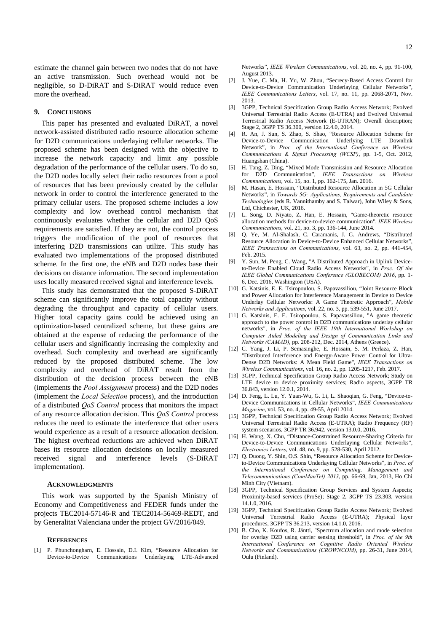estimate the channel gain between two nodes that do not have an active transmission. Such overhead would not be negligible, so D-DiRAT and S-DiRAT would reduce even more the overhead.

#### **9. CONCLUSIONS**

This paper has presented and evaluated DiRAT, a novel network-assisted distributed radio resource allocation scheme for D2D communications underlaying cellular networks. The proposed scheme has been designed with the objective to increase the network capacity and limit any possible degradation of the performance of the cellular users. To do so, the D2D nodes locally select their radio resources from a pool of resources that has been previously created by the cellular network in order to control the interference generated to the primary cellular users. The proposed scheme includes a low complexity and low overhead control mechanism that continuously evaluates whether the cellular and D2D QoS requirements are satisfied. If they are not, the control process triggers the modification of the pool of resources that interfering D2D transmissions can utilize. This study has evaluated two implementations of the proposed distributed scheme. In the first one, the eNB and D2D nodes base their decisions on distance information. The second implementation uses locally measured received signal and interference levels.

This study has demonstrated that the proposed S-DiRAT scheme can significantly improve the total capacity without degrading the throughput and capacity of cellular users. Higher total capacity gains could be achieved using an optimization-based centralized scheme, but these gains are obtained at the expense of reducing the performance of the cellular users and significantly increasing the complexity and overhead. Such complexity and overhead are significantly reduced by the proposed distributed scheme. The low complexity and overhead of DiRAT result from the distribution of the decision process between the eNB (implements the *Pool Assignment* process) and the D2D nodes (implement the *Local Selection* process), and the introduction of a distributed *QoS Control* process that monitors the impact of any resource allocation decision. This *QoS Control* process reduces the need to estimate the interference that other users would experience as a result of a resource allocation decision. The highest overhead reductions are achieved when DiRAT bases its resource allocation decisions on locally measured received signal and interference levels (S-DiRAT implementation).

#### **ACKNOWLEDGMENTS**

This work was supported by the Spanish Ministry of Economy and Competitiveness and FEDER funds under the projects TEC2014-57146-R and TEC2014-56469-REDT, and by Generalitat Valenciana under the project GV/2016/049.

#### **REFERENCES**

[1] P. Phunchongharn, E. Hossain, D.I. Kim, "Resource Allocation for Device-to-Device Communications Underlaying LTE-Advanced Networks", *IEEE Wireless Communications*, vol. 20, no. 4, pp. 91-100, August 2013.

- [2] J. Yue, C. Ma, H. Yu, W. Zhou, "Secrecy-Based Access Control for Device-to-Device Communication Underlaying Cellular Networks", *IEEE Communications Letters*, vol. 17, no. 11, pp. 2068-2071, Nov. 2013.
- [3] 3GPP, Technical Specification Group Radio Access Network; Evolved Universal Terrestrial Radio Access (E-UTRA) and Evolved Universal Terrestrial Radio Access Network (E-UTRAN); Overall description; Stage 2, 3GPP TS 36.300, version 12.4.0, 2014.
- [4] R. An, J. Sun, S. Zhao, S. Shao, "Resource Allocation Scheme for Device-to-Device Communication Underlying LTE Downlink Network", in *Proc. of the International Conference on Wireless Communications & Signal Processing (WCSP)*, pp. 1-5, Oct. 2012, Huangshan (China).
- [5] H. Tang, Z. Ding, "Mixed Mode Transmission and Resource Allocation for D2D Communication", *IEEE Transactions on Wireless Communications*, vol. 15, no. 1, pp. 162-175, Jan. 2016.
- [6] M. Hasan, E. Hossain, "Distributed Resource Allocation in 5G Cellular Networks", in *Towards 5G: Applications, Requirements and Candidate Technologies* (eds R. Vannithamby and S. Talwar), John Wiley & Sons, Ltd, Chichester, UK, 2016.
- [7] L. Song, D. Niyato, Z. Han, E. Hossain, "Game-theoretic resource allocation methods for device-to-device communication", *IEEE Wireless Communications*, vol. 21, no. 3, pp. 136-144, June 2014.
- [8] Q. Ye, M. Al-Shalash, C. Caramanis, J. G. Andrews, "Distributed Resource Allocation in Device-to-Device Enhanced Cellular Networks", *IEEE Transactions on Communications*, vol. 63, no. 2, pp. 441-454, Feb. 2015.
- [9] Y. Sun, M. Peng, C. Wang, "A Distributed Approach in Uplink Deviceto-Device Enabled Cloud Radio Access Networks", in *Proc. Of the IEEE Global Communications Conference (GLOBECOM) 2016*, pp. 1- 6, Dec. 2016, Washington (USA).
- [10] G. Katsinis, E. E. Tsiropoulou, S. Papavassiliou, "Joint Resource Block and Power Allocation for Interference Management in Device to Device Underlay Cellular Networks: A Game Theoretic Approach", *Mobile Networks and Applications*, vol. 22, no. 3, pp. 539-551, June 2017.
- [11] G. Katsinis, E. E. Tsiropoulou, S. Papavassiliou, "A game theoretic approach to the power control in D2D communications underlay cellular networks", in *Proc. of the IEEE 19th International Workshop on Computer Aided Modeling and Design of Communication Links and Networks (CAMAD)*, pp. 208-212, Dec. 2014, Athens (Greece).
- [12] C. Yang, J. Li, P. Semasinghe, E. Hossain, S. M. Perlaza, Z. Han, "Distributed Interference and Energy-Aware Power Control for Ultra-Dense D2D Networks: A Mean Field Game", *IEEE Transactions on Wireless Communications*, vol. 16, no. 2, pp. 1205-1217, Feb. 2017.
- [13] 3GPP, Technical Specification Group Radio Access Network; Study on LTE device to device proximity services; Radio aspects, 3GPP TR 36.843, version 12.0.1, 2014.
- [14] D. Feng, L. Lu, Y. Yuan-Wu, G. Li, L. Shaoqian, G. Feng, "Device-to-Device Communications in Cellular Networks", *IEEE Communications Magazine*, vol. 53, no. 4, pp. 49-55, April 2014.
- [15] 3GPP, Technical Specification Group Radio Access Network; Evolved Universal Terrestrial Radio Access (E-UTRA); Radio Frequency (RF) system scenarios, 3GPP TR 36.942, version 13.0.0, 2016.
- [16] H. Wang, X. Chu, "Distance-Constrained Resource-Sharing Criteria for Device-to-Device Communications Underlaying Cellular Networks", *Electronics Letters*, vol. 48, no. 9, pp. 528-530, April 2012.
- [17] Q. Duong, Y. Shin, O.S. Shin, "Resource Allocation Scheme for Deviceto-Device Communications Underlaying Cellular Networks", in *Proc. of the International Conference on Computing, Management and Telecommunications (ComManTel) 2013*, pp. 66-69, Jan, 2013, Ho Chi Minh City (Vietnam).
- [18] 3GPP, Technical Specification Group Services and System Aspects; Proximity-based services (ProSe); Stage 2, 3GPP TS 23.303, version 14.1.0, 2016.
- [19] 3GPP, Technical Specification Group Radio Access Network; Evolved Universal Terrestrial Radio Access (E-UTRA); Physical layer procedures, 3GPP TS 36.213, version 14.1.0, 2016.
- [20] B. Cho, K. Koufos, R. Jäntti, "Spectrum allocation and mode selection for overlay D2D using carrier sensing threshold", in *Proc. of the 9th International Conference on Cognitive Radio Oriented Wireless Networks and Communications (CROWNCOM)*, pp. 26-31, June 2014, Oulu (Finland).